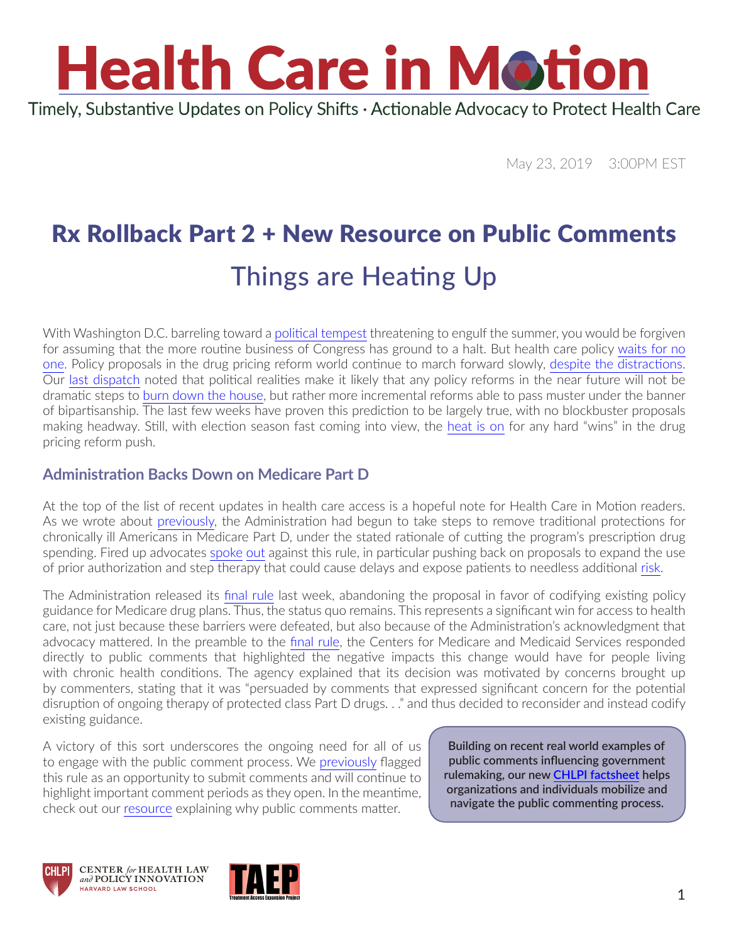

May 23, 2019 3:00PM EST

### Rx Rollback Part 2 + New Resource on Public Comments Things are Heating Up

With Washington D.C. barreling toward a [political tempest](https://constitutioncenter.org/debate/podcasts/are-we-in-a-constitutional-crisis) threatening to engulf the summer, you would be forgiven for assuming that the more routine business of Congress has ground to a halt. But health care policy [waits for no](https://twitter.com/DrewShiller/status/1130650343505666048)  [one](https://twitter.com/DrewShiller/status/1130650343505666048). Policy proposals in the drug pricing reform world continue to march forward slowly, [despite the distractions](https://www.politico.com/newsletters/politico-pulse/2019/05/23/trumps-threat-wont-stop-drug-price-reform-630495). Our [last dispatch](https://www.chlpi.org/wp-content/uploads/2013/12/HCIM_4_30_2019.pdf) noted that political realities make it likely that any policy reforms in the near future will not be dramatic steps to [burn down the house](https://www.youtube.com/watch?v=_3eC35LoF4U), but rather more incremental reforms able to pass muster under the banner of bipartisanship. The last few weeks have proven this prediction to be largely true, with no blockbuster proposals making headway. Still, with election season fast coming into view, the [heat is on](https://www.youtube.com/watch?v=uZD8HKVKneI) for any hard "wins" in the drug pricing reform push.

#### **Administration Backs Down on Medicare Part D**

At the top of the list of recent updates in health care access is a hopeful note for Health Care in Motion readers. As we wrote about [previously](https://www.chlpi.org/wp-content/uploads/2013/12/HCIM_12_12_2018.pdf), the Administration had begun to take steps to remove traditional protections for chronically ill Americans in Medicare Part D, under the stated rationale of cutting the program's prescription drug spending. Fired up advocates [spoke](https://www.fightcancer.org/releases/acs-can-and-nearly-60-patient-advocacy-groups-send-letter-raising-alarm-over-changes) [out](http://speakup.hiv/wp-content/uploads/2019/04/HHCAWG-Medicare-Protected-Classes-Rule-FINAL-Comments.pdf) against this rule, in particular pushing back on proposals to expand the use of prior authorization and step therapy that could cause delays and expose patients to needless additional [risk](https://aahivm.org/wp-content/uploads/2016/12/AAHIVM-policy-one-pager-Prior-Authorization-FINAL.pdf).

The Administration released its [final rule](https://s3.amazonaws.com/public-inspection.federalregister.gov/2019-10521.pdf) last week, abandoning the proposal in favor of codifying existing policy guidance for Medicare drug plans. Thus, the status quo remains. This represents a significant win for access to health care, not just because these barriers were defeated, but also because of the Administration's acknowledgment that advocacy mattered. In the preamble to the [final rule](https://s3.amazonaws.com/public-inspection.federalregister.gov/2019-10521.pdf), the Centers for Medicare and Medicaid Services responded directly to public comments that highlighted the negative impacts this change would have for people living with chronic health conditions. The agency explained that its decision was motivated by concerns brought up by commenters, stating that it was "persuaded by comments that expressed significant concern for the potential disruption of ongoing therapy of protected class Part D drugs. . ." and thus decided to reconsider and instead codify existing guidance.

A victory of this sort underscores the ongoing need for all of us to engage with the public comment process. We [previously](https://www.chlpi.org/wp-content/uploads/2013/12/HCIM_12_12_2018.pdf) flagged this rule as an opportunity to submit comments and will continue to highlight important comment periods as they open. In the meantime, check out our [resource](https://www.chlpi.org/wp-content/uploads/2013/12/Why-Public-Comments-Matter-CHLPI-Branded.pdf) explaining why public comments matter.

**Building on recent real world examples of public comments influencing government rulemaking, our new [CHLPI factsheet](https://www.chlpi.org/wp-content/uploads/2013/12/Why-Public-Comments-Matter-CHLPI-Branded.pdf) helps organizations and individuals mobilize and navigate the public commenting process.**





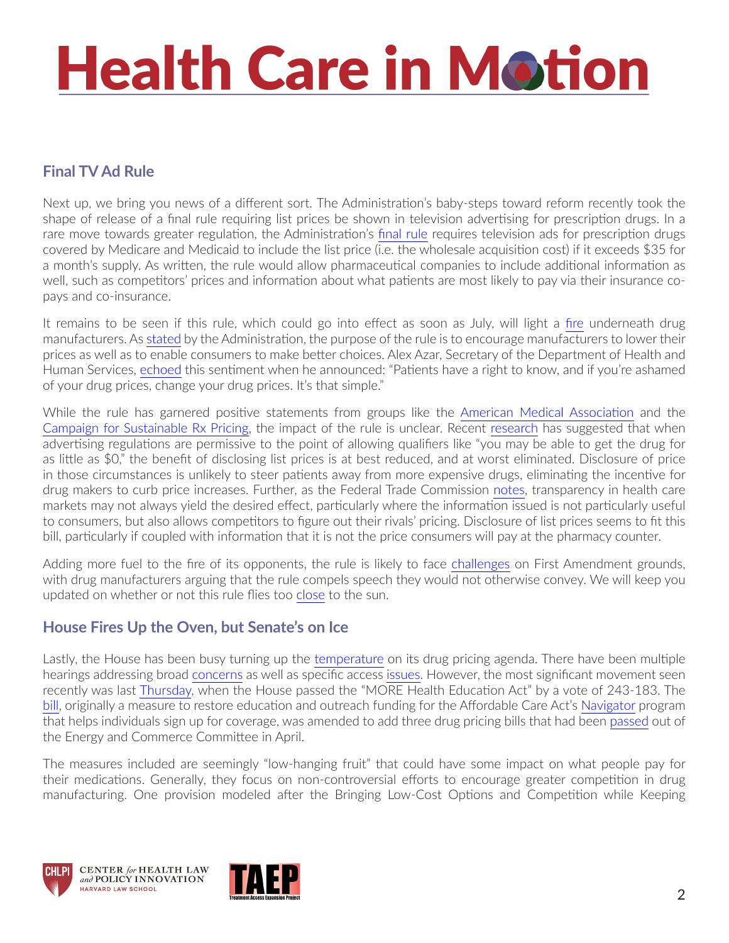# **Health Care in Motion**

#### **Final TV Ad Rule**

Next up, we bring you news of a different sort. The Administration's baby-steps toward reform recently took the shape of release of a final rule requiring list prices be shown in television advertising for prescription drugs. In a rare move towards greater regulation, the Administration's [final rule](https://www.federalregister.gov/documents/2019/05/10/2019-09655/medicare-and-medicaid-programs-regulation-to-require-drug-pricing-transparency) requires television ads for prescription drugs covered by Medicare and Medicaid to include the list price (i.e. the wholesale acquisition cost) if it exceeds \$35 for a month's supply. As written, the rule would allow pharmaceutical companies to include additional information as well, such as competitors' prices and information about what patients are most likely to pay via their insurance copays and co-insurance.

It remains to be seen if this rule, which could go into effect as soon as July, will light a [fire](https://www.youtube.com/watch?v=1xqMY8UAGgg) underneath drug manufacturers. As [stated](https://www.hhs.gov/about/news/2019/05/08/hhs-finalizes-rule-requiring-manufacturers-disclose-drug-prices-in-tv-ads.html) by the Administration, the purpose of the rule is to encourage manufacturers to lower their prices as well as to enable consumers to make better choices. Alex Azar, Secretary of the Department of Health and Human Services, [echoed](https://www.statnews.com/2019/05/08/drug-prices-tv-ads/) this sentiment when he announced: "Patients have a right to know, and if you're ashamed of your drug prices, change your drug prices. It's that simple."

While the rule has garnered positive statements from groups like the [American Medical Association](https://www.ama-assn.org/press-center/ama-statements/ama-trump-administration-requiring-pricing-information-tv-drug-ads) and the [Campaign for Sustainable Rx Pricing,](https://www.csrxp.org/csrxp-praises-administration-for-implementing-direct-to-consumer-advertising-rule/) the impact of the rule is unclear. Recent [research](https://jamanetwork.com/journals/jamainternalmedicine/article-abstract/2720752) has suggested that when advertising regulations are permissive to the point of allowing qualifiers like "you may be able to get the drug for as little as \$0," the benefit of disclosing list prices is at best reduced, and at worst eliminated. Disclosure of price in those circumstances is unlikely to steer patients away from more expensive drugs, eliminating the incentive for drug makers to curb price increases. Further, as the Federal Trade Commission [notes](https://www.ftc.gov/news-events/blogs/competition-matters/2015/07/price-transparency-or-tmi), transparency in health care markets may not always yield the desired effect, particularly where the information issued is not particularly useful to consumers, but also allows competitors to figure out their rivals' pricing. Disclosure of list prices seems to fit this bill, particularly if coupled with information that it is not the price consumers will pay at the pharmacy counter.

Adding more fuel to the fire of its opponents, the rule is likely to face [challenges](https://www.biopharmadive.com/news/dtc-drug-price-fight-first-amendment-takes-center-stage/539473/) on First Amendment grounds, with drug manufacturers arguing that the rule compels speech they would not otherwise convey. We will keep you updated on whether or not this rule flies too [close](https://www.youtube.com/watch?v=a0k0FJrY4a8) to the sun.

#### **House Fires Up the Oven, but Senate's on Ice**

Lastly, the House has been busy turning up the [temperature](https://www.youtube.com/watch?v=dW2MmuA1nI4) on its drug pricing agenda. There have been multiple hearings addressing broad [concerns](https://energycommerce.house.gov/committee-activity/hearings/hearing-on-improving-drug-pricing-transparency-and-lowering-prices-for) as well as specific access [issues](https://oversight.house.gov/news/press-releases/committee-to-hold-hearing-on-gilead-s-exorbitant-price-for-hiv-prevention-drug). However, the most significant movement seen recently was last [Thursday,](https://www.politico.com/story/2019/05/16/house-drug-pricing-vote-1440843) when the House passed the "MORE Health Education Act" by a vote of 243-183. The [bill](https://www.congress.gov/bill/116th-congress/house-bill/987), originally a measure to restore education and outreach funding for the Affordable Care Act's [Navigator](https://www.chlpi.org/wp-content/uploads/2013/12/HCIM_12_08_2017.pdf) program that helps individuals sign up for coverage, was amended to add three drug pricing bills that had been [passed](https://energycommerce.house.gov/newsroom/press-releases/ec-chairman-pallone-on-passage-of-12-bills-to-lower-health-care-and) out of the Energy and Commerce Committee in April.

The measures included are seemingly "low-hanging fruit" that could have some impact on what people pay for their medications. Generally, they focus on non-controversial efforts to encourage greater competition in drug manufacturing. One provision modeled after the Bringing Low-Cost Options and Competition while Keeping